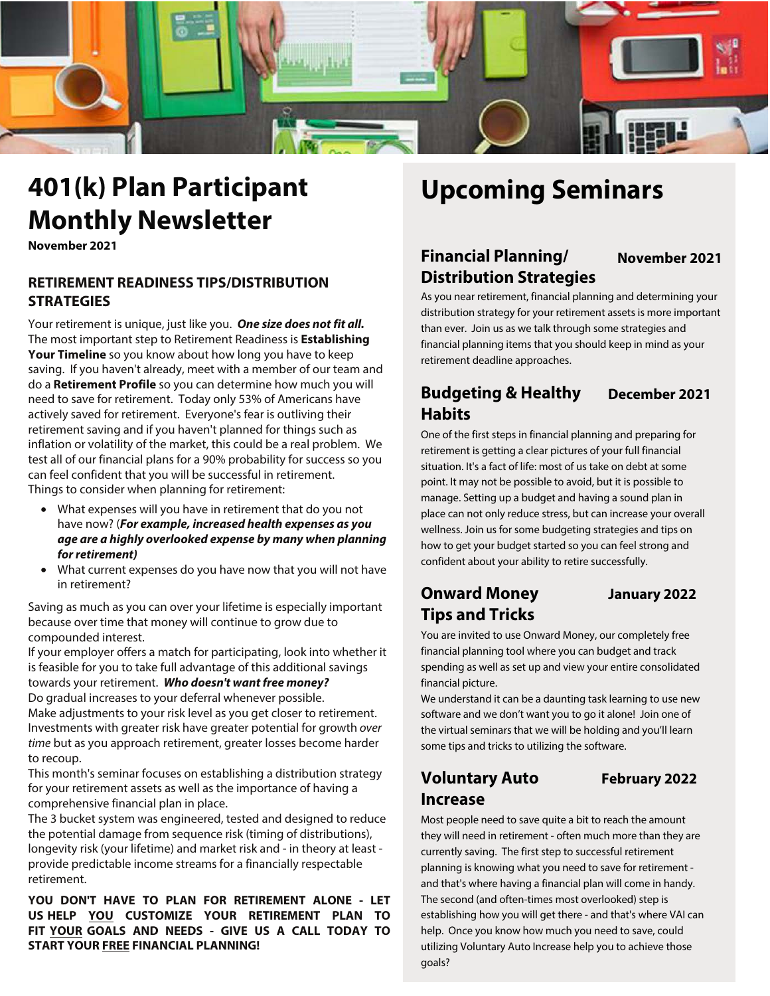

# **401(k) Plan Participant Upcoming Seminars Monthly Newsletter**

**November 2021**

### **RETIREMENT READINESS TIPS/DISTRIBUTION STRATEGIES**

Your retirement is unique, just like you. **One size does not fit all.** The most important step to Retirement Readiness is **Establishing Your Timeline** so you know about how long you have to keep saving. If you haven't already, meet with a member of our team and do a **Retirement Profile** so you can determine how much you will need to save for retirement. Today only 53% of Americans have actively saved for retirement. Everyone's fear is outliving their retirement saving and if you haven't planned for things such as inflation or volatility of the market, this could be a real problem. We test all of our financial plans for a 90% probability for success so you can feel confident that you will be successful in retirement. Things to consider when planning for retirement:

- What expenses will you have in retirement that do you not have now? (**For example, increased health expenses as you age are a highly overlooked expense by many when planning for retirement)**
- What current expenses do you have now that you will not have in retirement?

Saving as much as you can over your lifetime is especially important because over time that money will continue to grow due to compounded interest.

If your employer offers a match for participating, look into whether it is feasible for you to take full advantage of this additional savings towards your retirement. **Who doesn't want free money?** Do gradual increases to your deferral whenever possible. Make adjustments to your risk level as you get closer to retirement. Investments with greater risk have greater potential for growth over time but as you approach retirement, greater losses become harder to recoup.

This month's seminar focuses on establishing a distribution strategy for your retirement assets as well as the importance of having a comprehensive financial plan in place.

The 3 bucket system was engineered, tested and designed to reduce the potential damage from sequence risk (timing of distributions), longevity risk (your lifetime) and market risk and - in theory at least provide predictable income streams for a financially respectable retirement.

**YOU DON'T HAVE TO PLAN FOR RETIREMENT ALONE - LET US HELP YOU CUSTOMIZE YOUR RETIREMENT PLAN TO FIT YOUR GOALS AND NEEDS - GIVE US A CALL TODAY TO START YOUR FREE FINANCIAL PLANNING!**

# **Financial Planning/ Distribution Strategies**

# **November 2021**

As you near retirement, financial planning and determining your distribution strategy for your retirement assets is more important than ever. Join us as we talk through some strategies and financial planning items that you should keep in mind as your retirement deadline approaches.

## **Budgeting & Healthy December 2021 Habits**

One of the first steps in financial planning and preparing for retirement is getting a clear pictures of your full financial situation. It's a fact of life: most of us take on debt at some point. It may not be possible to avoid, but it is possible to manage. Setting up a budget and having a sound plan in place can not only reduce stress, but can increase your overall wellness. Join us for some budgeting strategies and tips on how to get your budget started so you can feel strong and confident about your ability to retire successfully.

# **Onward Money January 2022 Tips and Tricks**

You are invited to use Onward Money, our completely free financial planning tool where you can budget and track spending as well as set up and view your entire consolidated financial picture.

We understand it can be a daunting task learning to use new software and we don't want you to go it alone! Join one of the virtual seminars that we will be holding and you'll learn some tips and tricks to utilizing the software.

# **Voluntary Auto February 2022 Increase**

Most people need to save quite a bit to reach the amount they will need in retirement - often much more than they are currently saving. The first step to successful retirement planning is knowing what you need to save for retirement and that's where having a financial plan will come in handy. The second (and often-times most overlooked) step is establishing how you will get there - and that's where VAI can help. Once you know how much you need to save, could utilizing Voluntary Auto Increase help you to achieve those goals?